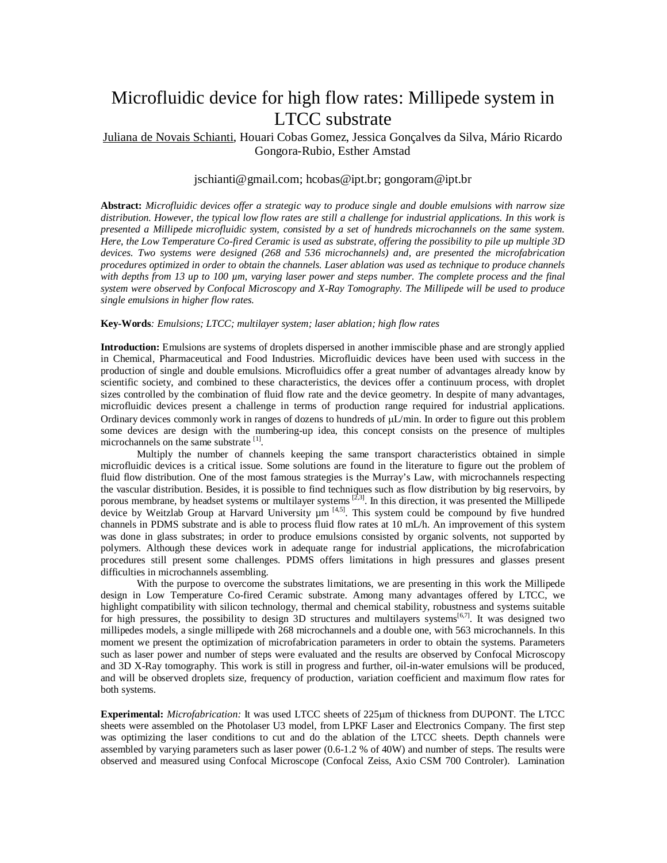## Microfluidic device for high flow rates: Millipede system in LTCC substrate

## Juliana de Novais Schianti, Houari Cobas Gomez, Jessica Gonçalves da Silva, Mário Ricardo Gongora-Rubio, Esther Amstad

## jschianti@gmail.com; hcobas@ipt.br; gongoram@ipt.br

**Abstract:** *Microfluidic devices offer a strategic way to produce single and double emulsions with narrow size distribution. However, the typical low flow rates are still a challenge for industrial applications. In this work is presented a Millipede microfluidic system, consisted by a set of hundreds microchannels on the same system. Here, the Low Temperature Co-fired Ceramic is used as substrate, offering the possibility to pile up multiple 3D devices. Two systems were designed (268 and 536 microchannels) and, are presented the microfabrication procedures optimized in order to obtain the channels. Laser ablation was used as technique to produce channels with depths from 13 up to 100 µm, varying laser power and steps number. The complete process and the final system were observed by Confocal Microscopy and X-Ray Tomography. The Millipede will be used to produce single emulsions in higher flow rates.* 

## **Key-Words***: Emulsions; LTCC; multilayer system; laser ablation; high flow rates*

**Introduction:** Emulsions are systems of droplets dispersed in another immiscible phase and are strongly applied in Chemical, Pharmaceutical and Food Industries. Microfluidic devices have been used with success in the production of single and double emulsions. Microfluidics offer a great number of advantages already know by scientific society, and combined to these characteristics, the devices offer a continuum process, with droplet sizes controlled by the combination of fluid flow rate and the device geometry. In despite of many advantages, microfluidic devices present a challenge in terms of production range required for industrial applications. Ordinary devices commonly work in ranges of dozens to hundreds of  $\mu L/min$ . In order to figure out this problem some devices are design with the numbering-up idea, this concept consists on the presence of multiples microchannels on the same substrate [1].

Multiply the number of channels keeping the same transport characteristics obtained in simple microfluidic devices is a critical issue. Some solutions are found in the literature to figure out the problem of fluid flow distribution. One of the most famous strategies is the Murray's Law, with microchannels respecting the vascular distribution. Besides, it is possible to find techniques such as flow distribution by big reservoirs, by porous membrane, by headset systems or multilayer systems  $[2,3]$ . In this direction, it was presented the Millipede device by Weitzlab Group at Harvard University  $\mu$ m<sup>[4,5]</sup>. This system could be compound by five hundred channels in PDMS substrate and is able to process fluid flow rates at 10 mL/h. An improvement of this system was done in glass substrates; in order to produce emulsions consisted by organic solvents, not supported by polymers. Although these devices work in adequate range for industrial applications, the microfabrication procedures still present some challenges. PDMS offers limitations in high pressures and glasses present difficulties in microchannels assembling.

With the purpose to overcome the substrates limitations, we are presenting in this work the Millipede design in Low Temperature Co-fired Ceramic substrate. Among many advantages offered by LTCC, we highlight compatibility with silicon technology, thermal and chemical stability, robustness and systems suitable for high pressures, the possibility to design 3D structures and multilayers systems<sup>[6,7]</sup>. It was designed two millipedes models, a single millipede with 268 microchannels and a double one, with 563 microchannels. In this moment we present the optimization of microfabrication parameters in order to obtain the systems. Parameters such as laser power and number of steps were evaluated and the results are observed by Confocal Microscopy and 3D X-Ray tomography. This work is still in progress and further, oil-in-water emulsions will be produced, and will be observed droplets size, frequency of production, variation coefficient and maximum flow rates for both systems.

**Experimental:** *Microfabrication:* It was used LTCC sheets of 225µm of thickness from DUPONT. The LTCC sheets were assembled on the Photolaser U3 model, from LPKF Laser and Electronics Company. The first step was optimizing the laser conditions to cut and do the ablation of the LTCC sheets. Depth channels were assembled by varying parameters such as laser power (0.6-1.2 % of 40W) and number of steps. The results were observed and measured using Confocal Microscope (Confocal Zeiss, Axio CSM 700 Controler). Lamination